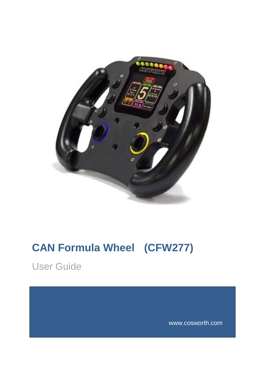

# <span id="page-0-0"></span>**CAN Formula Wheel (CFW277)**

<span id="page-0-1"></span>User Guide

www.cosworth.com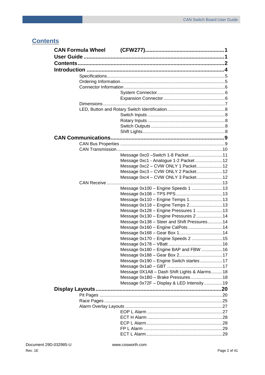### <span id="page-1-0"></span>**Contents**

|             | Message 0xc0 - Switch 1-8 Packet 11          |  |
|-------------|----------------------------------------------|--|
|             | Message 0xc1 - Analogue 1-2 Packet  12       |  |
|             | Message 0xc2 - CVW ONLY 1 Packet 12          |  |
|             | Message 0xc3 - CVW ONLY 2 Packet12           |  |
|             | Message 0xc4 - CVW ONLY 3 Packet12           |  |
| CAN Receive |                                              |  |
|             | Message 0x100 - Engine Speeds 1 13           |  |
|             |                                              |  |
|             | Message 0x110 - Engine Temps 113             |  |
|             | Message 0x118 - Engine Temps 2 13            |  |
|             | Message 0x128 - Engine Pressures 1 13        |  |
|             | Message 0x130 - Engine Pressures 2  14       |  |
|             | Message 0x138 - Steer and Shift Pressures14  |  |
|             | Message 0x160 - Engine CalPots 14            |  |
|             |                                              |  |
|             | Message 0x170 - Engine Speeds 2  15          |  |
|             |                                              |  |
|             | Message 0x180 - Engine BAP and FBW 16        |  |
|             |                                              |  |
|             | Message 0x190 - Engine Switch startes 17     |  |
|             |                                              |  |
|             | Message 0X1A8 - Dash Shift Lights & Alarms18 |  |
|             |                                              |  |
|             | Message 0x72F - Display & LED Intensity 19   |  |
|             |                                              |  |
|             |                                              |  |
|             |                                              |  |
|             |                                              |  |
|             |                                              |  |
|             |                                              |  |
|             |                                              |  |
|             |                                              |  |
|             |                                              |  |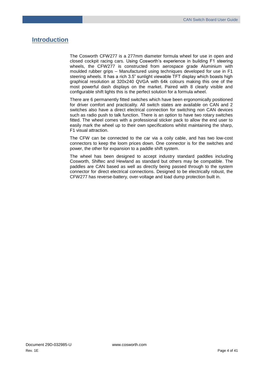### <span id="page-3-0"></span>**Introduction**

The Cosworth CFW277 is a 277mm diameter formula wheel for use in open and closed cockpit racing cars. Using Cosworth's experience in building F1 steering wheels, the CFW277 is constructed from aerospace grade Aluminium with moulded rubber grips – Manufactured using techniques developed for use in F1 steering wheels. It has a rich 3.5" sunlight viewable TFT display which boasts high graphical resolution at 320x240 QVGA with 64k colours making this one of the most powerful dash displays on the market. Paired with 8 clearly visible and configurable shift lights this is the perfect solution for a formula wheel.

There are 6 permanently fitted switches which have been ergonomically positioned for driver comfort and practicality. All switch states are available on CAN and 2 switches also have a direct electrical connection for switching non CAN devices such as radio push to talk function. There is an option to have two rotary switches fitted. The wheel comes with a professional sticker pack to allow the end user to easily mark the wheel up to their own specifications whilst maintaining the sharp, F1 visual attraction.

The CFW can be connected to the car via a coily cable, and has two low-cost connectors to keep the loom prices down. One connector is for the switches and power, the other for expansion to a paddle shift system.

The wheel has been designed to accept industry standard paddles including Cosworth, Shiftec and Hewland as standard but others may be compatible. The paddles are CAN based as well as directly being passed through to the system connector for direct electrical connections. Designed to be electrically robust, the CFW277 has reverse-battery, over-voltage and load dump protection built in.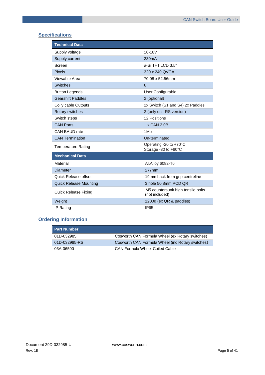### <span id="page-4-0"></span>**Specifications**

| <b>Technical Data</b>         |                                                     |
|-------------------------------|-----------------------------------------------------|
| Supply voltage                | 10-18V                                              |
| Supply current                | 230 <sub>m</sub> A                                  |
| Screen                        | a-Si TFT LCD 3.5"                                   |
| <b>Pixels</b>                 | 320 x 240 QVGA                                      |
| Viewable Area                 | 70.08 x 52.56mm                                     |
| <b>Switches</b>               | 6                                                   |
| <b>Button Legends</b>         | User Configurable                                   |
| <b>Gearshift Paddles</b>      | 2 (optional)                                        |
| Coily cable Outputs           | 2x Switch (S1 and S4) 2x Paddles                    |
| Rotary switches               | 2 (only on -RS version)                             |
| Switch steps                  | 12 Positions                                        |
| <b>CAN Ports</b>              | 1 x CAN 2.0B                                        |
| CAN BAUD rate                 | 1M <sub>b</sub>                                     |
| <b>CAN Termination</b>        | Un-terminated                                       |
| <b>Temperature Rating</b>     | Operating -20 to +70°C<br>Storage -30 to +80°C      |
| <b>Mechanical Data</b>        |                                                     |
| Material                      | Al.Alloy 6082-T6                                    |
| <b>Diameter</b>               | 277mm                                               |
| Quick Release offset          | 19mm back from grip centreline                      |
| <b>Quick Release Mounting</b> | 3 hole 50.8mm PCD QR                                |
| Quick Release Fixing          | M5 countersunk high tensile bolts<br>(not included) |
| Weight                        | 1200g (ex QR & paddles)                             |
| <b>IP Rating</b>              | <b>IP65</b>                                         |

### <span id="page-4-1"></span>**Ordering Information**

| <b>Part Number</b> |                                                  |
|--------------------|--------------------------------------------------|
| 01D-032985         | Cosworth CAN Formula Wheel (ex Rotary switches)  |
| 01D-032985-RS      | Cosworth CAN Formula Wheel (inc Rotary switches) |
| 03A-06500          | CAN Formula Wheel Coiled Cable                   |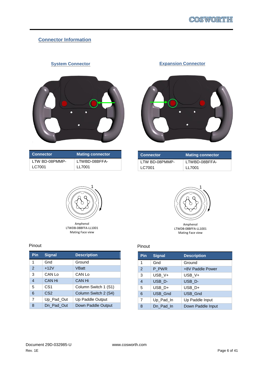### <span id="page-5-0"></span>**Connector Information**

### **System Connector**

<span id="page-5-1"></span>

| <b>Connector</b> | Mating connector |
|------------------|------------------|
| LTW BD-08PMMP-   | LTWBD-08BFFA-    |
| LC7001           | LI 7001          |

### **Expansion Connector**

<span id="page-5-2"></span>

| <b>Connector</b> | <b>Mating connector</b> |
|------------------|-------------------------|
| LTW BD-08PMMP-   | LTWBD-08BFFA-           |
| LC7001           | LL 7001                 |



### Pinout

| Pin            | <b>Signal</b>   | <b>Description</b>   |
|----------------|-----------------|----------------------|
| 1              | Gnd             | Ground               |
| $\overline{2}$ | $+12V$          | VBatt                |
| 3              | CAN Lo          | CAN Lo               |
| $\overline{4}$ | CAN Hi          | CAN Hi               |
| 5              | CS <sub>1</sub> | Column Switch 1 (S1) |
| 6              | CS <sub>2</sub> | Column Switch 2 (S4) |
| $\overline{7}$ | Up_Pad_Out      | Up Paddle Output     |
| 8              | Dn Pad Out      | Down Paddle Output   |



LTWDB-08BFFA-LL1001 Mating Face view

### Pinout

| Pin            | <b>Signal</b>  | <b>Description</b> |
|----------------|----------------|--------------------|
| 1              | Gnd            | Ground             |
| $\mathcal{P}$  | P PWR          | +8V Paddle Power   |
| 3              | USB V+         | USB V+             |
| $\overline{4}$ | USB D-         | USB D-             |
| 5              | USB_D+         | USB_D+             |
| 6              | <b>USB Gnd</b> | USB_Gnd            |
| $\overline{7}$ | Up Pad In      | Up Paddle Input    |
| 8              | Dn Pad In      | Down Paddle Input  |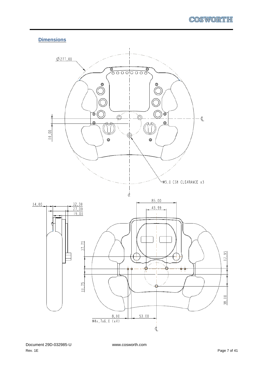**Dimensions**

<span id="page-6-0"></span>

Document 29D-032985-U www.cosworth.com Rev. 1E Page 7 of 41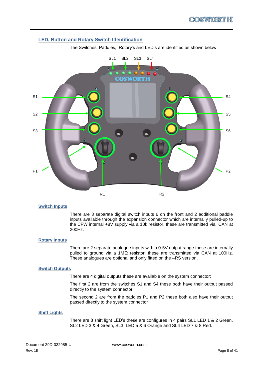### <span id="page-7-0"></span>**LED, Button and Rotary Switch Identification**



The Switches, Paddles, Rotary's and LED's are identified as shown below

#### <span id="page-7-1"></span>**Switch Inputs**

There are 8 separate digital switch inputs 6 on the front and 2 additional paddle inputs available through the expansion connector which are internally pulled-up to the CFW internal +8V supply via a 10k resistor, these are transmitted via CAN at 200Hz.

#### <span id="page-7-2"></span>**Rotary Inputs**

There are 2 separate analogue inputs with a 0-5V output range these are internally pulled to ground via a 1MΩ resistor; these are transmitted via CAN at 100Hz. These analogues are optional and only fitted on the –RS version.

#### <span id="page-7-3"></span>**Switch Outputs**

There are 4 digital outputs these are available on the system connector:

The first 2 are from the switches S1 and S4 these both have their output passed directly to the system connector

The second 2 are from the paddles P1 and P2 these both also have their output passed directly to the system connector

#### <span id="page-7-4"></span>**Shift Lights**

There are 8 shift light LED's these are configures in 4 pairs SL1 LED 1 & 2 Green. SL2 LED 3 & 4 Green, SL3, LED 5 & 6 Orange and SL4 LED 7 & 8 Red.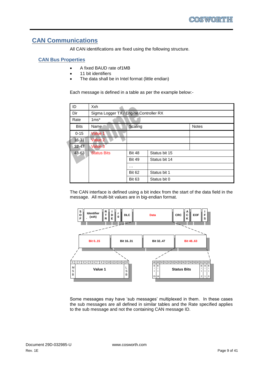### <span id="page-8-0"></span>**CAN Communications**

All CAN identifications are fixed using the following structure.

### <span id="page-8-1"></span>**CAN Bus Properties**

- A fixed BAUD rate of 1MB
- 11 bit identifiers
- The data shall be in Intel format (little endian)

Each message is defined in a table as per the example below:-

| ID          | Xxh                                    |               |               |              |
|-------------|----------------------------------------|---------------|---------------|--------------|
| Dir         | Sigma Logger TX / Engine Controller RX |               |               |              |
| Rate        | $1ms*$                                 |               |               |              |
| <b>Bits</b> | Name                                   | Scaling       |               | <b>Notes</b> |
| $0 - 15$    | Value 1                                |               |               |              |
| 16-31       | Value 2                                |               |               |              |
| $32 - 47$   | Value 3                                |               |               |              |
| 48-63       | <b>Status Bits</b>                     | <b>Bit 48</b> | Status bit 15 |              |
|             |                                        | <b>Bit 49</b> | Status bit 14 |              |
|             |                                        | .             |               |              |
|             |                                        | <b>Bit 62</b> | Status bit 1  |              |
|             |                                        | <b>Bit 63</b> | Status bit 0  |              |

The CAN interface is defined using a bit index from the start of the data field in the message. All multi-bit values are in big-endian format.



Some messages may have 'sub messages' multiplexed in them. In these cases the sub messages are all defined in similar tables and the Rate specified applies to the sub message and not the containing CAN message ID.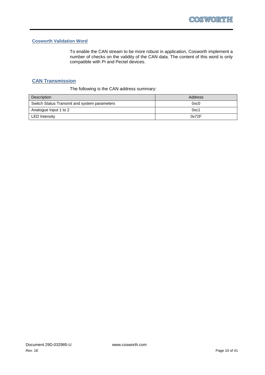### **Cosworth Validation Word**

To enable the CAN stream to be more robust in application, Cosworth implement a number of checks on the validity of the CAN data. The content of this word is only compatible with Pi and Pectel devices.

### <span id="page-9-0"></span>**CAN Transmission**

The following is the CAN address summary:

| Description                                  | Address           |
|----------------------------------------------|-------------------|
| Switch Status Transmit and system parameters | 0x <sub>c</sub> 0 |
| Analogue Input 1 to 2                        | 0xc1              |
| <b>LED</b> Intensity                         | 0x72F             |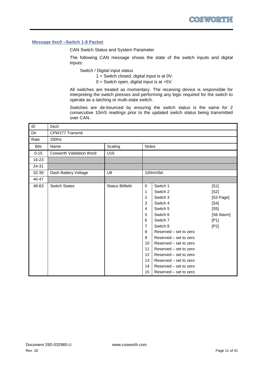### <span id="page-10-0"></span>**Message 0xc0 –Switch 1-8 Packet**

CAN Switch Status and System Parameter

The following CAN message shows the state of the switch inputs and digital inputs:

Switch / Digital input status

- $1 =$  Switch closed, digital input is at 0V.
- $0 =$  Switch open, digital input is at  $+5V$ .

All switches are treated as momentary. The receiving device is responsible for interpreting the switch presses and performing any logic required for the switch to operate as a latching or multi-state switch.

Switches are de-bounced by ensuring the switch status is the same for 2 consecutive 10mS readings prior to the updated switch status being transmitted over CAN.

| ID          | 0xc0                            |                        |                                                                                    |                                                                                                                                                          |                                                                         |
|-------------|---------------------------------|------------------------|------------------------------------------------------------------------------------|----------------------------------------------------------------------------------------------------------------------------------------------------------|-------------------------------------------------------------------------|
| Dir         | CFW277 Transmit                 |                        |                                                                                    |                                                                                                                                                          |                                                                         |
| Rate        | 200Hz                           |                        |                                                                                    |                                                                                                                                                          |                                                                         |
| <b>Bits</b> | Name                            | Scaling                | Notes                                                                              |                                                                                                                                                          |                                                                         |
| $0 - 15$    | <b>Cosworth Validation Word</b> | U16                    |                                                                                    |                                                                                                                                                          |                                                                         |
| 16-23       |                                 |                        |                                                                                    |                                                                                                                                                          |                                                                         |
| 24-31       |                                 |                        |                                                                                    |                                                                                                                                                          |                                                                         |
| 32-39       | Dash Battery Voltage            | U8                     |                                                                                    | 100mV/bit                                                                                                                                                |                                                                         |
| 40-47       |                                 |                        |                                                                                    |                                                                                                                                                          |                                                                         |
| 48-63       | <b>Switch States</b>            | <b>Status Bitfield</b> | $\mathbf 0$<br>1<br>2<br>3<br>$\overline{4}$<br>5<br>6<br>$\overline{7}$<br>8<br>9 | Switch 1<br>Switch 2<br>Switch 3<br>Switch 4<br>Switch 5<br>Switch 6<br>Switch 7<br>Switch 8<br>Reserved – set to zero<br>Reserved – set to zero         | [S1]<br>[S2]<br>[S3 Page]<br>[S4]<br>[S5]<br>[S6 Alarm]<br>[P1]<br>[P2] |
|             |                                 |                        | 10<br>11<br>12<br>13<br>14<br>15                                                   | Reserved – set to zero<br>Reserved – set to zero<br>Reserved - set to zero<br>Reserved – set to zero<br>Reserved – set to zero<br>Reserved – set to zero |                                                                         |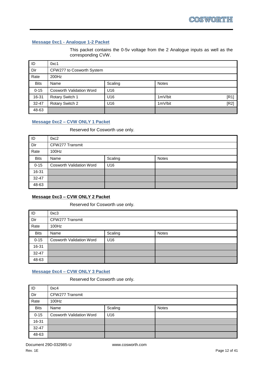### <span id="page-11-0"></span>**Message 0xc1 - Analogue 1-2 Packet**

This packet contains the 0-5v voltage from the 2 Analogue inputs as well as the corresponding CVW.

| $\overline{\mathsf{ID}}$ | 0xc1                            |         |              |      |
|--------------------------|---------------------------------|---------|--------------|------|
| Dir                      | CFW277 to Cosworth System       |         |              |      |
| Rate                     | 200Hz                           |         |              |      |
| <b>Bits</b>              | Name                            | Scaling | <b>Notes</b> |      |
| $0 - 15$                 | <b>Cosworth Validation Word</b> | U16     |              |      |
| 16-31                    | Rotary Switch 1                 | U16     | 1mV/bit      | [R1] |
| $32 - 47$                | Rotary Switch 2                 | U16     | 1mV/bit      | [R2] |
| 48-63                    |                                 |         |              |      |

### <span id="page-11-1"></span>**Message 0xc2 – CVW ONLY 1 Packet**

### Reserved for Cosworth use only.

| ID          | 0xc2                            |                 |  |  |
|-------------|---------------------------------|-----------------|--|--|
| Dir         | CFW277 Transmit                 |                 |  |  |
| Rate        | 100Hz                           |                 |  |  |
| <b>Bits</b> | Scaling<br>Name<br><b>Notes</b> |                 |  |  |
| $0 - 15$    | <b>Cosworth Validation Word</b> | U <sub>16</sub> |  |  |
| 16-31       |                                 |                 |  |  |
| $32 - 47$   |                                 |                 |  |  |
| 48-63       |                                 |                 |  |  |

### <span id="page-11-2"></span>**Message 0xc3 – CVW ONLY 2 Packet**

### Reserved for Cosworth use only.

| ID          | 0xc3                            |                 |              |  |
|-------------|---------------------------------|-----------------|--------------|--|
| Dir         | CFW277 Transmit                 |                 |              |  |
| Rate        | $100$ Hz                        |                 |              |  |
| <b>Bits</b> | Name                            | Scaling         | <b>Notes</b> |  |
| $0 - 15$    | <b>Cosworth Validation Word</b> | U <sub>16</sub> |              |  |
| 16-31       |                                 |                 |              |  |
| $32 - 47$   |                                 |                 |              |  |
| 48-63       |                                 |                 |              |  |

### <span id="page-11-3"></span>**Message 0xc4 – CVW ONLY 3 Packet**

Reserved for Cosworth use only.

| $\overline{1}$ | 0xc4                            |                 |              |
|----------------|---------------------------------|-----------------|--------------|
| Dir            | CFW277 Transmit                 |                 |              |
| Rate           | 100Hz                           |                 |              |
| <b>Bits</b>    | Name                            | Scaling         | <b>Notes</b> |
| $0 - 15$       | <b>Cosworth Validation Word</b> | U <sub>16</sub> |              |
| 16-31          |                                 |                 |              |
| $32 - 47$      |                                 |                 |              |
| 48-63          |                                 |                 |              |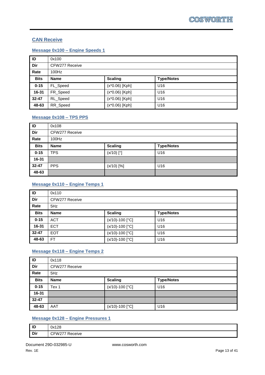### <span id="page-12-0"></span>**CAN Receive**

### <span id="page-12-1"></span>**Message 0x100 – Engine Speeds 1**

| $\overline{1}$ | 0x100                                              |                  |     |
|----------------|----------------------------------------------------|------------------|-----|
| Dir            | CFW277 Receive                                     |                  |     |
| Rate           | 100Hz                                              |                  |     |
| <b>Bits</b>    | <b>Scaling</b><br><b>Name</b><br><b>Type/Notes</b> |                  |     |
| $0 - 15$       | FL_Speed                                           | $(x*0.06)$ [Kph] | U16 |
| 16-31          | FR_Speed                                           | $(x*0.06)$ [Kph] | U16 |
| 32-47          | RL_Speed                                           | $(x*0.06)$ [Kph] | U16 |
| 48-63          | RR_Speed                                           | $(x*0.06)$ [Kph] | U16 |

### <span id="page-12-2"></span>**Message 0x108 – TPS PPS**

| $\overline{D}$ | 0x108                                              |              |     |  |
|----------------|----------------------------------------------------|--------------|-----|--|
| Dir            | CFW277 Receive                                     |              |     |  |
| Rate           | 100Hz                                              |              |     |  |
| <b>Bits</b>    | <b>Scaling</b><br><b>Type/Notes</b><br><b>Name</b> |              |     |  |
| $0 - 15$       | <b>TPS</b>                                         | $(x/10)$ [°] | U16 |  |
| 16-31          |                                                    |              |     |  |
| 32-47          | <b>PPS</b><br>$(x/10)$ [%]<br>U16                  |              |     |  |
| 48-63          |                                                    |              |     |  |

### <span id="page-12-3"></span>**Message 0x110 – Engine Temps 1**

| $\overline{\mathsf{ID}}$ | 0x110                                              |                   |                 |  |
|--------------------------|----------------------------------------------------|-------------------|-----------------|--|
| Dir                      | CFW277 Receive                                     |                   |                 |  |
| Rate                     | 5Hz                                                |                   |                 |  |
| <b>Bits</b>              | <b>Scaling</b><br><b>Name</b><br><b>Type/Notes</b> |                   |                 |  |
| $0 - 15$                 | <b>ACT</b>                                         | $(x/10)-100$ [°C] | U <sub>16</sub> |  |
| 16-31                    | <b>ECT</b>                                         | $(x/10)-100$ [°C] | U <sub>16</sub> |  |
| 32-47                    | <b>EOT</b>                                         | (x/10)-100 [°C]   | U <sub>16</sub> |  |
| 48-63                    | <b>FT</b>                                          | $(x/10)-100$ [°C] | U <sub>16</sub> |  |

### <span id="page-12-4"></span>**Message 0x118 – Engine Temps 2**

| ID          | 0x118                                              |                     |                 |  |
|-------------|----------------------------------------------------|---------------------|-----------------|--|
| Dir         | CFW277 Receive                                     |                     |                 |  |
| Rate        | 5Hz                                                |                     |                 |  |
| <b>Bits</b> | <b>Scaling</b><br><b>Type/Notes</b><br><b>Name</b> |                     |                 |  |
| $0 - 15$    | Tex 1                                              | $(x/10)-100$ [°C]   | U16             |  |
| 16-31       |                                                    |                     |                 |  |
| 32-47       |                                                    |                     |                 |  |
| 48-63       | AAT                                                | $(x/10) - 100$ [°C] | U <sub>16</sub> |  |

### <span id="page-12-5"></span>**Message 0x128 – Engine Pressures 1**

| ID  | 0x128                |
|-----|----------------------|
| Dir | -<br>ceive<br>w<br>. |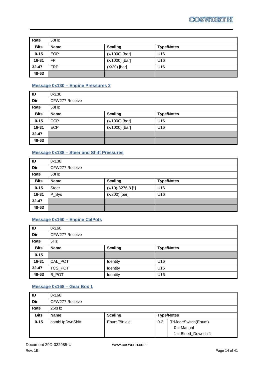| Rate        | 50Hz        |                  |                   |
|-------------|-------------|------------------|-------------------|
| <b>Bits</b> | <b>Name</b> | <b>Scaling</b>   | <b>Type/Notes</b> |
| $0 - 15$    | <b>EOP</b>  | $(x/1000)$ [bar] | U <sub>16</sub>   |
| 16-31       | <b>FP</b>   | (x/1000) [bar]   | U <sub>16</sub>   |
| 32-47       | <b>FRP</b>  | $(X/20)$ [bar]   | U <sub>16</sub>   |
| 48-63       |             |                  |                   |

### <span id="page-13-0"></span>**Message 0x130 – Engine Pressures 2**

| $\overline{\mathsf{P}}$ | 0x130                                              |                |     |  |
|-------------------------|----------------------------------------------------|----------------|-----|--|
| Dir                     | CFW277 Receive                                     |                |     |  |
| Rate                    | 50Hz                                               |                |     |  |
| <b>Bits</b>             | <b>Scaling</b><br><b>Name</b><br><b>Type/Notes</b> |                |     |  |
| $0 - 15$                | <b>CCP</b>                                         | (x/1000) [bar] | U16 |  |
| 16-31                   | <b>ECP</b>                                         | (x/1000) [bar] | U16 |  |
| 32-47                   |                                                    |                |     |  |
| 48-63                   |                                                    |                |     |  |

### <span id="page-13-1"></span>**Message 0x138 – Steer and Shift Pressures**

| ID          | 0x138                                              |                     |                 |  |
|-------------|----------------------------------------------------|---------------------|-----------------|--|
| Dir         | CFW277 Receive                                     |                     |                 |  |
| Rate        | 50Hz                                               |                     |                 |  |
| <b>Bits</b> | <b>Scaling</b><br><b>Type/Notes</b><br><b>Name</b> |                     |                 |  |
| $0 - 15$    | <b>Steer</b>                                       | $(x/10)-3276.8$ [°] | U <sub>16</sub> |  |
| 16-31       | P_Sys                                              | (x/200) [bar]       | U <sub>16</sub> |  |
| 32-47       |                                                    |                     |                 |  |
| 48-63       |                                                    |                     |                 |  |

### <span id="page-13-2"></span>**Message 0x160 – Engine CalPots**

| ID          | 0x160                                              |          |                 |
|-------------|----------------------------------------------------|----------|-----------------|
| Dir         | CFW277 Receive                                     |          |                 |
| Rate        | 5Hz                                                |          |                 |
| <b>Bits</b> | <b>Scaling</b><br><b>Type/Notes</b><br><b>Name</b> |          |                 |
| $0 - 15$    |                                                    |          |                 |
| 16-31       | CAL_POT                                            | Identity | U <sub>16</sub> |
| 32-47       | TCS_POT                                            | Identity | U <sub>16</sub> |
| 48-63       | <b>B_POT</b>                                       | Identity | U <sub>16</sub> |

### <span id="page-13-3"></span>**Message 0x168 – Gear Box 1**

| $\overline{\mathsf{P}}$ | 0x168          |                |         |                                    |
|-------------------------|----------------|----------------|---------|------------------------------------|
| Dir                     | CFW277 Receive |                |         |                                    |
| Rate                    | 250Hz          |                |         |                                    |
| <b>Bits</b>             | <b>Name</b>    | <b>Scaling</b> |         | <b>Type/Notes</b>                  |
|                         |                |                |         |                                    |
| $0 - 15$                | combUpDwnShift | Enum/Bitfield  | $0 - 2$ | TrModeSwitch(Enum)<br>$0 =$ Manual |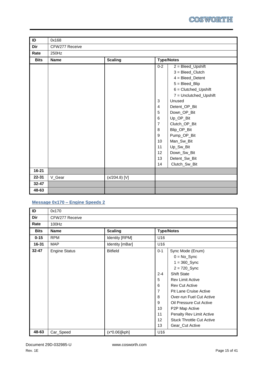

| ID          | 0x168          |                 |                |                        |
|-------------|----------------|-----------------|----------------|------------------------|
| Dir         | CFW277 Receive |                 |                |                        |
|             |                |                 |                |                        |
| Rate        | 250Hz          |                 |                |                        |
| <b>Bits</b> | <b>Name</b>    | <b>Scaling</b>  |                | <b>Type/Notes</b>      |
|             |                |                 | $0 - 2$        | $2 = Blead_{DB}$       |
|             |                |                 |                | $3 = Blead_C$ lutch    |
|             |                |                 |                | $4 = B$                |
|             |                |                 |                | $5 = Blead_Blip$       |
|             |                |                 |                | $6 = Clutched_Vpshift$ |
|             |                |                 |                | 7 = Unclutched_Upshift |
|             |                |                 | 3              | Unused                 |
|             |                |                 | $\overline{4}$ | Detent_OP_Bit          |
|             |                |                 | 5              | Down_OP_Bit            |
|             |                |                 | 6              | Up_OP_Bit              |
|             |                |                 | $\overline{7}$ | Clutch_OP_Bit          |
|             |                |                 | 8              | Blip_OP_Bit            |
|             |                |                 | 9              | Pump_OP_Bit            |
|             |                |                 | 10             | Man_Sw_Bit             |
|             |                |                 | 11             | Up_Sw_Bit              |
|             |                |                 | 12             | Down_Sw_Bit            |
|             |                |                 | 13             | Detent_Sw_Bit          |
|             |                |                 | 14             | Clutch_Sw_Bit          |
| 16-21       |                |                 |                |                        |
| $22 - 31$   | V_Gear         | $(x/204.8)$ [V] |                |                        |
| 32-47       |                |                 |                |                        |
| 48-63       |                |                 |                |                        |

### <span id="page-14-0"></span>**Message 0x170 – Engine Speeds 2**

| ID          | 0x170                |                  |                                                                                  |                                                                                                                                                                                                                                                                                                                                        |
|-------------|----------------------|------------------|----------------------------------------------------------------------------------|----------------------------------------------------------------------------------------------------------------------------------------------------------------------------------------------------------------------------------------------------------------------------------------------------------------------------------------|
| Dir         | CFW277 Receive       |                  |                                                                                  |                                                                                                                                                                                                                                                                                                                                        |
| Rate        | 100Hz                |                  |                                                                                  |                                                                                                                                                                                                                                                                                                                                        |
| <b>Bits</b> | <b>Name</b>          | <b>Scaling</b>   |                                                                                  | <b>Type/Notes</b>                                                                                                                                                                                                                                                                                                                      |
| $0 - 15$    | <b>RPM</b>           | Identity [RPM]   | U16                                                                              |                                                                                                                                                                                                                                                                                                                                        |
| $16 - 31$   | <b>MAP</b>           | Identity [mBar]  | U16                                                                              |                                                                                                                                                                                                                                                                                                                                        |
| $32 - 47$   | <b>Engine Status</b> | <b>Bitfield</b>  | $0 - 1$<br>$2 - 4$<br>5<br>6<br>$\overline{7}$<br>8<br>9<br>10<br>11<br>12<br>13 | Sync Mode (Enum)<br>$0 = No$ _Sync<br>$1 = 360$ Sync<br>$2 = 720$ Sync<br><b>Shift State</b><br><b>Rev Limit Active</b><br><b>Rev Cut Active</b><br>Pit Lane Cruise Active<br>Over-run Fuel Cut Active<br>Oil Pressure Cut Active<br>P2P Map Active<br>Penalty Rev Limit Active<br><b>Stuck Throttle Cut Active</b><br>Gear_Cut Active |
| 48-63       | Car_Speed            | $(x*0.06)$ [kph] | U16                                                                              |                                                                                                                                                                                                                                                                                                                                        |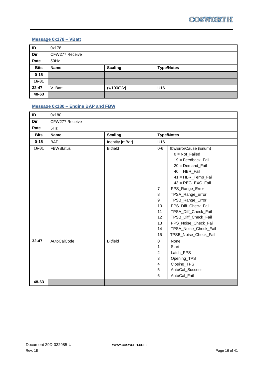### <span id="page-15-0"></span>**Message 0x178 – VBatt**

| ID          | 0x178          |                |                   |  |  |
|-------------|----------------|----------------|-------------------|--|--|
| Dir         | CFW277 Receive |                |                   |  |  |
| Rate        | 50Hz           |                |                   |  |  |
| <b>Bits</b> | <b>Name</b>    | <b>Scaling</b> | <b>Type/Notes</b> |  |  |
| $0 - 15$    |                |                |                   |  |  |
| 16-31       |                |                |                   |  |  |
| 32-47       | V_Batt         | (x/1000)[v]    | U16               |  |  |
| 48-63       |                |                |                   |  |  |

### <span id="page-15-1"></span>**Message 0x180 – Engine BAP and FBW**

| ID          | 0x180            |                 |                |                       |
|-------------|------------------|-----------------|----------------|-----------------------|
| Dir         | CFW277 Receive   |                 |                |                       |
| Rate        | 5Hz              |                 |                |                       |
| <b>Bits</b> | <b>Name</b>      | <b>Scaling</b>  |                | <b>Type/Notes</b>     |
| $0 - 15$    | <b>BAP</b>       | Identity [mBar] | U16            |                       |
| 16-31       | <b>FBWStatus</b> | <b>Bitfield</b> | $0-6$          | fbwErrorCause (Enum)  |
|             |                  |                 |                | $0 = Not$ Failed      |
|             |                  |                 |                | 19 = Feedback_Fail    |
|             |                  |                 |                | 20 = Demand_Fail      |
|             |                  |                 |                | $40 = HBR$ Fail       |
|             |                  |                 |                | 41 = HBR_Temp_Fail    |
|             |                  |                 |                | $43 = REG$ EXC Fail   |
|             |                  |                 | $\overline{7}$ | PPS_Range_Error       |
|             |                  |                 | 8              | TPSA_Range_Error      |
|             |                  |                 | 9              | TPSB_Range_Error      |
|             |                  |                 | 10             | PPS_Diff_Check_Fail   |
|             |                  |                 | 11             | TPSA_Diff_Check_Fail  |
|             |                  |                 | 12             | TPSB_Diff_Check_Fail  |
|             |                  |                 | 13             | PPS_Noise_Check_Fail  |
|             |                  |                 | 14             | TPSA_Noise_Check_Fail |
|             |                  |                 | 15             | TPSB_Noise_Check_Fail |
| $32 - 47$   | AutoCalCode      | <b>Bitfield</b> | $\mathbf 0$    | None                  |
|             |                  |                 | 1              | <b>Start</b>          |
|             |                  |                 | $\overline{2}$ | Latch_PPS             |
|             |                  |                 | 3              | Opening_TPS           |
|             |                  |                 | 4              | Closing_TPS           |
|             |                  |                 | 5              | AutoCal_Success       |
|             |                  |                 | 6              | AutoCal_Fail          |
| 48-63       |                  |                 |                |                       |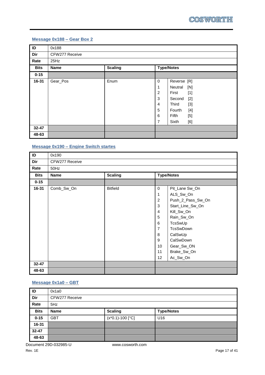### <span id="page-16-0"></span>**Message 0x188 – Gear Box 2**

| $\overline{\mathsf{ID}}$ | 0x188          |                |                                                                        |                                                                                                                                         |
|--------------------------|----------------|----------------|------------------------------------------------------------------------|-----------------------------------------------------------------------------------------------------------------------------------------|
| Dir                      | CFW277 Receive |                |                                                                        |                                                                                                                                         |
| Rate                     | 25Hz           |                |                                                                        |                                                                                                                                         |
| <b>Bits</b>              | <b>Name</b>    | <b>Scaling</b> |                                                                        | <b>Type/Notes</b>                                                                                                                       |
| $0 - 15$                 |                |                |                                                                        |                                                                                                                                         |
| 16-31                    | Gear_Pos       | Enum           | $\pmb{0}$<br>1<br>$\overline{2}$<br>3<br>$\overline{4}$<br>5<br>6<br>7 | Reverse [R]<br>Neutral<br>[N]<br>First<br>$[1]$<br>Second<br>$[2]$<br>Third<br>$[3]$<br>$[4]$<br>Fourth<br>Fifth<br>[5]<br>Sixth<br>[6] |
| 32-47                    |                |                |                                                                        |                                                                                                                                         |
| 48-63                    |                |                |                                                                        |                                                                                                                                         |

### <span id="page-16-1"></span>**Message 0x190 – Engine Switch startes**

| ID          | 0x190          |                 |                |                   |
|-------------|----------------|-----------------|----------------|-------------------|
| Dir         | CFW277 Receive |                 |                |                   |
| Rate        | 50Hz           |                 |                |                   |
| <b>Bits</b> | <b>Name</b>    | <b>Scaling</b>  |                | <b>Type/Notes</b> |
| $0 - 15$    |                |                 |                |                   |
| 16-31       | Comb_Sw_On     | <b>Bitfield</b> | $\mathbf 0$    | Pit_Lane Sw_On    |
|             |                |                 | 1              | ALS_Sw_On         |
|             |                |                 | $\overline{c}$ | Push_2_Pass_Sw_On |
|             |                |                 | 3              | Start_Line_Sw_On  |
|             |                |                 | 4              | Kill_Sw_On        |
|             |                |                 | 5              | Rain_Sw_On        |
|             |                |                 | 6              | TcsSwUp           |
|             |                |                 | 7              | <b>TcsSwDown</b>  |
|             |                |                 | 8              | CalSwUp           |
|             |                |                 | 9              | CalSwDown         |
|             |                |                 | 10             | Gear_Sw_ON        |
|             |                |                 | 11             | Brake_Sw_On       |
|             |                |                 | 12             | Ac_Sw_On          |
| $32 - 47$   |                |                 |                |                   |
| 48-63       |                |                 |                |                   |

### <span id="page-16-2"></span>**Message 0x1a0 – GBT**

| ID          | 0x1a0          |                    |                   |  |  |
|-------------|----------------|--------------------|-------------------|--|--|
| Dir         | CFW277 Receive |                    |                   |  |  |
| Rate        | 5Hz            |                    |                   |  |  |
| <b>Bits</b> | <b>Name</b>    | <b>Scaling</b>     | <b>Type/Notes</b> |  |  |
| $0 - 15$    | <b>GBT</b>     | $(x*0.1)-100$ [°C] | U <sub>16</sub>   |  |  |
| 16-31       |                |                    |                   |  |  |
| 32-47       |                |                    |                   |  |  |
| 48-63       |                |                    |                   |  |  |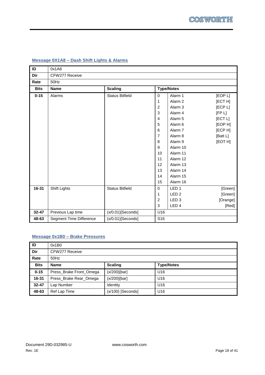| ID          | 0x1A8                   |                        |                  |                    |          |
|-------------|-------------------------|------------------------|------------------|--------------------|----------|
| Dir         | CFW277 Receive          |                        |                  |                    |          |
| Rate        | 50Hz                    |                        |                  |                    |          |
| <b>Bits</b> | <b>Name</b>             | <b>Scaling</b>         |                  | <b>Type/Notes</b>  |          |
| $0 - 15$    | Alarms                  | <b>Status Bitfield</b> | 0                | Alarm 1            | [EOP L]  |
|             |                         |                        | 1                | Alarm <sub>2</sub> | [ECT H]  |
|             |                         |                        | $\overline{c}$   | Alarm <sub>3</sub> | [ECP L]  |
|             |                         |                        | 3                | Alarm <sub>4</sub> | [FP L]   |
|             |                         |                        | 4                | Alarm <sub>5</sub> | [ECT L]  |
|             |                         |                        | 5                | Alarm <sub>6</sub> | [EOP H]  |
|             |                         |                        | $\,6$            | Alarm 7            | [ECP H]  |
|             |                         |                        | 7                | Alarm <sub>8</sub> | [Batt L] |
|             |                         |                        | 8                | Alarm <sub>9</sub> | [EOT H]  |
|             |                         |                        | $\boldsymbol{9}$ | Alarm 10           |          |
|             |                         |                        | 10               | Alarm 11           |          |
|             |                         |                        | 11               | Alarm 12           |          |
|             |                         |                        | 12               | Alarm 13           |          |
|             |                         |                        | 13               | Alarm 14           |          |
|             |                         |                        | 14               | Alarm 15           |          |
|             |                         |                        | 15               | Alarm 16           |          |
| 16-31       | <b>Shift Lights</b>     | <b>Status Bitfield</b> | 0                | LED <sub>1</sub>   | [Green]  |
|             |                         |                        | 1                | LED <sub>2</sub>   | [Green]  |
|             |                         |                        | $\boldsymbol{2}$ | LED <sub>3</sub>   | [Orange] |
|             |                         |                        | 3                | LED <sub>4</sub>   | [Red]    |
| 32-47       | Previous Lap time       | $(x/0.01)$ [Seconds]   | U16              |                    |          |
| 48-63       | Segment Time Difference | $(x/0.01)$ [Seconds]   | S16              |                    |          |

### <span id="page-17-0"></span>**Message 0X1A8 – Dash Shift Lights & Alarms**

### <span id="page-17-1"></span>**Message 0x1B0 – Brake Pressures**

| ID          | 0x1B0                   |                     |                   |  |  |
|-------------|-------------------------|---------------------|-------------------|--|--|
| Dir         | CFW277 Receive          |                     |                   |  |  |
| Rate        | $50$ Hz                 |                     |                   |  |  |
| <b>Bits</b> | <b>Name</b>             | <b>Scaling</b>      | <b>Type/Notes</b> |  |  |
| $0 - 15$    | Press_Brake Front_Omega | $(x/200)$ [bar]     | U16               |  |  |
| 16-31       | Press_Brake Rear_Omega  | $(x/200)$ [bar]     | U16               |  |  |
| $32 - 47$   | Lap Number              | Identity            | U <sub>16</sub>   |  |  |
| 48-63       | Ref Lap Time            | $(x/100)$ [Seconds] | U16               |  |  |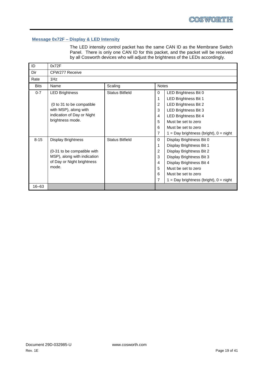### <span id="page-18-0"></span>**Message 0x72F – Display & LED Intensity**

The LED intensity control packet has the same CAN ID as the Membrane Switch Panel. There is only one CAN ID for this packet, and the packet will be received by all Cosworth devices who will adjust the brightness of the LEDs accordingly.

| ID          | 0x72F                       |                        |                |                                            |
|-------------|-----------------------------|------------------------|----------------|--------------------------------------------|
| Dir         | CFW277 Receive              |                        |                |                                            |
| Rate        | 1Hz                         |                        |                |                                            |
| <b>Bits</b> | Name                        | Scaling                | <b>Notes</b>   |                                            |
| $0 - 7$     | <b>LED Brightness</b>       | <b>Status Bitfield</b> | $\Omega$       | LED Brightness Bit 0                       |
|             |                             |                        | 1              | LED Brightness Bit 1                       |
|             | (0 to 31 to be compatible   |                        | $\overline{2}$ | LED Brightness Bit 2                       |
|             | with MSP), along with       |                        | 3              | LED Brightness Bit 3                       |
|             | indication of Day or Night  |                        | 4              | LED Brightness Bit 4                       |
|             | brightness mode.            |                        | 5              | Must be set to zero                        |
|             |                             |                        | 6              | Must be set to zero                        |
|             |                             |                        | $\overline{7}$ | $1 = Day$ brightness (bright), $0 =$ night |
| $8 - 15$    | <b>Display Brightness</b>   | <b>Status Bitfield</b> | $\Omega$       | Display Brightness Bit 0                   |
|             |                             |                        | 1              | Display Brightness Bit 1                   |
|             | (0-31 to be compatible with |                        | $\overline{2}$ | Display Brightness Bit 2                   |
|             | MSP), along with indication |                        | 3              | Display Brightness Bit 3                   |
|             | of Day or Night brightness  |                        | 4              | Display Brightness Bit 4                   |
|             | mode.                       |                        | 5              | Must be set to zero                        |
|             |                             |                        | 6              | Must be set to zero                        |
|             |                             |                        | $\overline{7}$ | $1 = Day$ brightness (bright), $0 =$ night |
| 16-63       |                             |                        |                |                                            |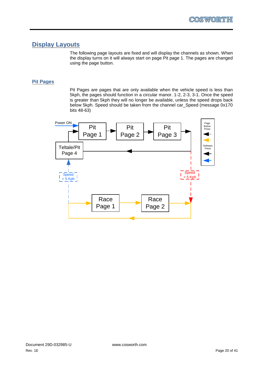### <span id="page-19-0"></span>**Display Layouts**

The following page layouts are fixed and will display the channels as shown. When the display turns on it will always start on page Pit page 1. The pages are changed using the page button.

### <span id="page-19-1"></span>**Pit Pages**

Pit Pages are pages that are only available when the vehicle speed is less than 5kph, the pages should function in a circular manor. 1-2, 2-3, 3-1. Once the speed is greater than 5kph they will no longer be available, unless the speed drops back below 5kph. Speed should be taken from the channel car\_Speed (message 0x170 bits 48-63)

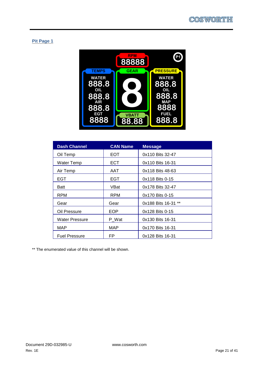### **Pit Page 1**



| <b>Dash Channel</b>   | <b>CAN Name</b> | <b>Message</b>      |
|-----------------------|-----------------|---------------------|
| Oil Temp              | EOT.            | 0x110 Bits 32-47    |
| Water Temp            | <b>ECT</b>      | 0x110 Bits 16-31    |
| Air Temp              | AAT             | 0x118 Bits 48-63    |
| EGT                   | EGT             | 0x118 Bits 0-15     |
| <b>Batt</b>           | VBat            | 0x178 Bits 32-47    |
| <b>RPM</b>            | <b>RPM</b>      | 0x170 Bits 0-15     |
| Gear                  | Gear            | 0x188 Bits 16-31 ** |
| Oil Pressure          | <b>EOP</b>      | 0x128 Bits 0-15     |
| <b>Water Pressure</b> | P Wat           | 0x130 Bits 16-31    |
| MAP                   | MAP             | 0x170 Bits 16-31    |
| <b>Fuel Pressure</b>  | FP              | 0x128 Bits 16-31    |

\*\* The enumerated value of this channel will be shown.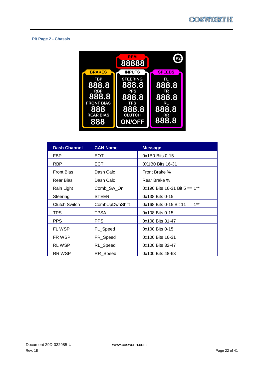### **Pit Page 2 - Chassis**



| <b>Dash Channel</b>  | <b>CAN Name</b> | <b>Message</b>                  |
|----------------------|-----------------|---------------------------------|
| FBP                  | EOT             | 0x1B0 Bits 0-15                 |
| <b>RBP</b>           | <b>ECT</b>      | 0X1B0 Bits 16-31                |
| <b>Front Bias</b>    | Dash Calc       | Front Brake %                   |
| Rear Bias            | Dash Calc       | Rear Brake %                    |
| Rain Light           | Comb_Sw_On      | 0x190 Bits 16-31 Bit $5 == 1**$ |
| Steering             | <b>STEER</b>    | 0x138 Bits 0-15                 |
| <b>Clutch Switch</b> | CombUpDwnShift  | 0x168 Bits 0-15 Bit 11 == $1**$ |
| TPS.                 | TPSA            | 0x108 Bits 0-15                 |
| <b>PPS</b>           | <b>PPS</b>      | 0x108 Bits 31-47                |
| FL WSP               | FL_Speed        | 0x100 Bits 0-15                 |
| FR WSP               | FR_Speed        | 0x100 Bits 16-31                |
| <b>RLWSP</b>         | RL_Speed        | 0x100 Bits 32-47                |
| <b>RRWSP</b>         | RR Speed        | 0x100 Bits 48-63                |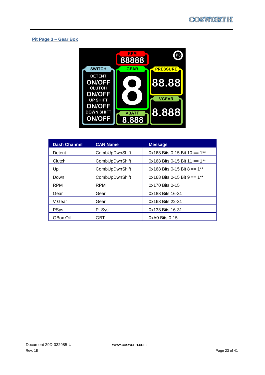### **Pit Page 3 – Gear Box**



| <b>Dash Channel</b> | <b>CAN Name</b> | <b>Message</b>                              |
|---------------------|-----------------|---------------------------------------------|
| Detent              | CombUpDwnShift  | 0x168 Bits 0-15 Bit 10 == $1**$             |
| Clutch              | CombUpDwnShift  | $0x168$ Bits 0-15 Bit 11 == 1 <sup>**</sup> |
| Up                  | CombUpDwnShift  | $0x168$ Bits 0-15 Bit 8 == 1 <sup>**</sup>  |
| Down                | CombUpDwnShift  | 0x168 Bits 0-15 Bit 9 == $1**$              |
| <b>RPM</b>          | <b>RPM</b>      | 0x170 Bits 0-15                             |
| Gear                | Gear            | 0x188 Bits 16-31                            |
| V Gear              | Gear            | 0x168 Bits 22-31                            |
| <b>PSys</b>         | P Sys           | 0x138 Bits 16-31                            |
| <b>GBox Oil</b>     | GBT             | $0xA0$ Bits $0-15$                          |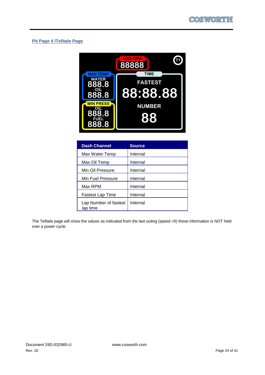### **Pit Page 4 /Telltale Page**



| <b>Dash Channel</b>               | <b>Source</b> |
|-----------------------------------|---------------|
| Max Water Temp                    | Internal      |
| Max Oil Temp                      | Internal      |
| Min Oil Pressure                  | Internal      |
| Min Fuel Pressure                 | Internal      |
| Max RPM                           | Internal      |
| <b>Fastest Lap Time</b>           | Internal      |
| Lap Number of fastest<br>lap time | Internal      |

The Telltale page will show the values as indicated from the last outing (speed >5) these information is NOT held over a power cycle.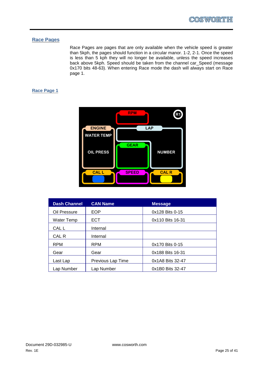### <span id="page-24-0"></span>**Race Pages**

Race Pages are pages that are only available when the vehicle speed is greater than 5kph, the pages should function in a circular manor. 1-2, 2-1. Once the speed is less than 5 kph they will no longer be available, unless the speed increases back above 5kph. Speed should be taken from the channel car\_Speed (message 0x170 bits 48-63). When entering Race mode the dash will always start on Race page 1.

### **Race Page 1**



| <b>Dash Channel</b> | <b>CAN Name</b>   | <b>Message</b>   |
|---------------------|-------------------|------------------|
| Oil Pressure        | EOP               | 0x128 Bits 0-15  |
| Water Temp          | <b>ECT</b>        | 0x110 Bits 16-31 |
| CAL L               | Internal          |                  |
| CAL R               | Internal          |                  |
| <b>RPM</b>          | <b>RPM</b>        | 0x170 Bits 0-15  |
| Gear                | Gear              | 0x188 Bits 16-31 |
| Last Lap            | Previous Lap Time | 0x1A8 Bits 32-47 |
| Lap Number          | Lap Number        | 0x1B0 Bits 32-47 |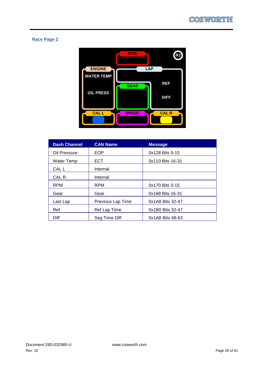### **Race Page 2**



| <b>Dash Channel</b> | <b>CAN Name</b>   | <b>Message</b>   |
|---------------------|-------------------|------------------|
| Oil Pressure        | EOP               | 0x128 Bits 0-15  |
| Water Temp          | <b>ECT</b>        | 0x110 Bits 16-31 |
| CAL L               | Internal          |                  |
| CAL R               | Internal          |                  |
| <b>RPM</b>          | <b>RPM</b>        | 0x170 Bits 0-15  |
| Gear                | Gear              | 0x188 Bits 16-31 |
| Last Lap            | Previous Lap Time | 0x1A8 Bits 32-47 |
| Ref                 | Ref Lap Time      | 0x1B0 Bits 32-47 |
| <b>Diff</b>         | Seg Time Diff     | 0x1A8 Bits 48-63 |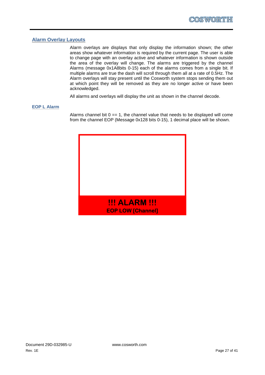### <span id="page-26-0"></span>**Alarm Overlay Layouts**

Alarm overlays are displays that only display the information shown; the other areas show whatever information is required by the current page. The user is able to change page with an overlay active and whatever information is shown outside the area of the overlay will change. The alarms are triggered by the channel Alarms (message 0x1A8bits 0-15) each of the alarms comes from a single bit. If multiple alarms are true the dash will scroll through them all at a rate of 0.5Hz. The Alarm overlays will stay present until the Cosworth system stops sending them out at which point they will be removed as they are no longer active or have been acknowledged.

All alarms and overlays will display the unit as shown in the channel decode.

### <span id="page-26-1"></span>**EOP L Alarm**

Alarms channel bit  $0 == 1$ , the channel value that needs to be displayed will come from the channel EOP (Message 0x128 bits 0-15), 1 decimal place will be shown.

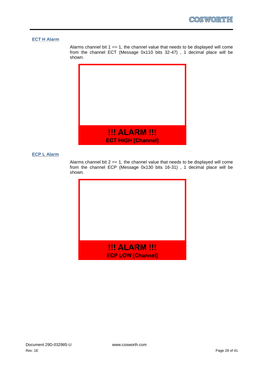### <span id="page-27-0"></span>**ECT H Alarm**

Alarms channel bit  $1 == 1$ , the channel value that needs to be displayed will come from the channel ECT (Message 0x110 bits 32-47) , 1 decimal place will be shown.



### <span id="page-27-1"></span>**ECP L Alarm**

Alarms channel bit  $2 == 1$ , the channel value that needs to be displayed will come from the channel ECP (Message 0x130 bits 16-31) , 1 decimal place will be shown.

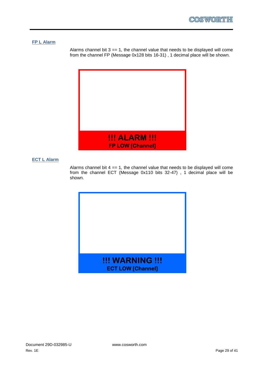### <span id="page-28-0"></span>**FP L Alarm**

Alarms channel bit  $3 == 1$ , the channel value that needs to be displayed will come from the channel FP (Message 0x128 bits 16-31) , 1 decimal place will be shown.



### <span id="page-28-1"></span>**ECT L Alarm**

Alarms channel bit  $4 == 1$ , the channel value that needs to be displayed will come from the channel ECT (Message 0x110 bits 32-47) , 1 decimal place will be shown.

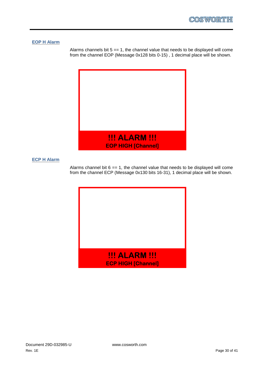### <span id="page-29-0"></span>**EOP H Alarm**

Alarms channels bit  $5 == 1$ , the channel value that needs to be displayed will come from the channel EOP (Message 0x128 bits 0-15) , 1 decimal place will be shown.



### <span id="page-29-1"></span>**ECP H Alarm**

Alarms channel bit  $6 == 1$ , the channel value that needs to be displayed will come from the channel ECP (Message 0x130 bits 16-31), 1 decimal place will be shown.

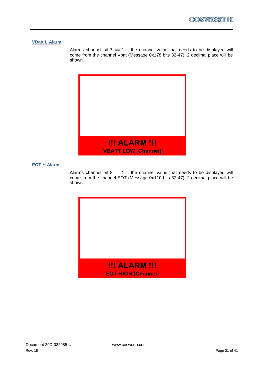### <span id="page-30-0"></span>**VBatt L Alarm**

Alarms channel bit  $7 == 1$ , the channel value that needs to be displayed will come from the channel Vbat (Message 0x178 bits 32-47), 2 decimal place will be shown.



### <span id="page-30-1"></span>**EOT H Alarm**

Alarms channel bit  $8 == 1$ , the channel value that needs to be displayed will come from the channel EOT (Message 0x110 bits 32-47), 2 decimal place will be shown.

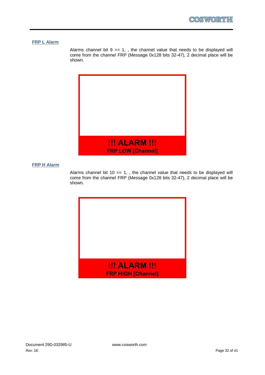### <span id="page-31-0"></span>**FRP L Alarm**

Alarms channel bit  $9 == 1$ , the channel value that needs to be displayed will come from the channel FRP (Message 0x128 bits 32-47), 2 decimal place will be shown.



### <span id="page-31-1"></span>**FRP H Alarm**

Alarms channel bit 10 == 1, , the channel value that needs to be displayed will come from the channel FRP (Message 0x128 bits 32-47), 2 decimal place will be shown.

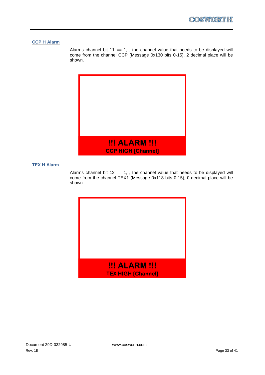### <span id="page-32-0"></span>**CCP H Alarm**

Alarms channel bit  $11 == 1$ , the channel value that needs to be displayed will come from the channel CCP (Message 0x130 bits 0-15), 2 decimal place will be shown.



### <span id="page-32-1"></span>**TEX H Alarm**

Alarms channel bit  $12 == 1$ , the channel value that needs to be displayed will come from the channel TEX1 (Message 0x118 bits 0-15), 0 decimal place will be shown.

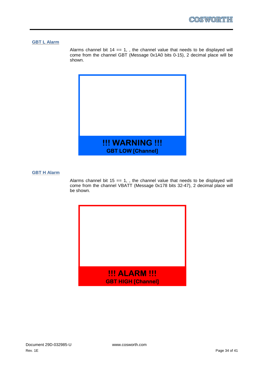### <span id="page-33-0"></span>**GBT L Alarm**

Alarms channel bit  $14 == 1$ , the channel value that needs to be displayed will come from the channel GBT (Message 0x1A0 bits 0-15), 2 decimal place will be shown.



### <span id="page-33-1"></span>**GBT H Alarm**

Alarms channel bit 15 == 1, , the channel value that needs to be displayed will come from the channel VBATT (Message 0x178 bits 32-47), 2 decimal place will be shown.

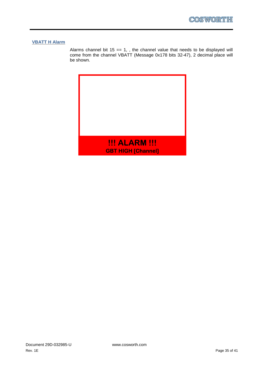### <span id="page-34-0"></span>**VBATT H Alarm**

Alarms channel bit  $15 == 1$ , the channel value that needs to be displayed will come from the channel VBATT (Message 0x178 bits 32-47), 2 decimal place will be shown.

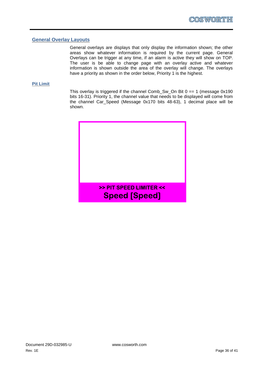### <span id="page-35-0"></span>**General Overlay Layouts**

General overlays are displays that only display the information shown; the other areas show whatever information is required by the current page. General Overlays can be trigger at any time, if an alarm is active they will show on TOP. The user is be able to change page with an overlay active and whatever information is shown outside the area of the overlay will change. The overlays have a priority as shown in the order below, Priority 1 is the highest.

#### <span id="page-35-1"></span>**Pit Limit**

This overlay is triggered if the channel Comb\_Sw\_On Bit  $0 == 1$  (message  $0x190$ bits 16-31). Priority 1, the channel value that needs to be displayed will come from the channel Car\_Speed (Message 0x170 bits 48-63), 1 decimal place will be shown.

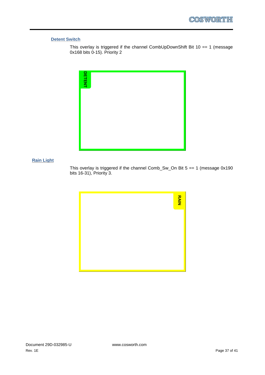### <span id="page-36-0"></span>**Detent Switch**

This overlay is triggered if the channel CombUpDownShift Bit 10 == 1 (message 0x168 bits 0-15). Priority 2



### <span id="page-36-1"></span>**Rain Light**

This overlay is triggered if the channel Comb\_Sw\_On Bit  $5 == 1$  (message  $0x190$ bits 16-31), Priority 3.

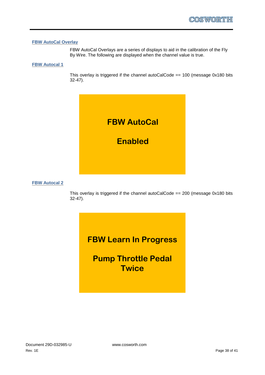### <span id="page-37-0"></span>**FBW AutoCal Overlay**

FBW AutoCal Overlays are a series of displays to aid in the calibration of the Fly By Wire. The following are displayed when the channel value is true.

#### **FBW Autocal 1**

This overlay is triggered if the channel autoCalCode == 100 (message 0x180 bits 32-47).



### **FBW Autocal 2**

This overlay is triggered if the channel autoCalCode == 200 (message 0x180 bits 32-47).

## **FBW Learn In Progress**

**Pump Throttle Pedal Twice**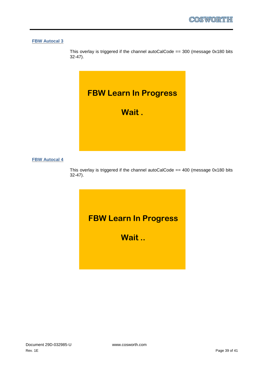**FBW Autocal 3**

This overlay is triggered if the channel autoCalCode  $== 300$  (message 0x180 bits 32-47).



### **FBW Autocal 4**

This overlay is triggered if the channel autoCalCode == 400 (message 0x180 bits 32-47).

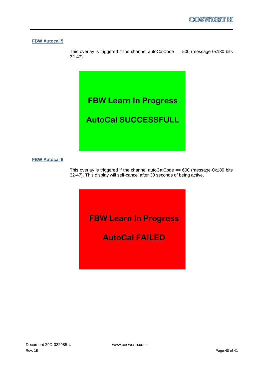#### **FBW Autocal 5**

This overlay is triggered if the channel autoCalCode  $== 500$  (message 0x180 bits 32-47).



### **FBW Autocal 6**

This overlay is triggered if the channel autoCalCode ==  $600$  (message 0x180 bits 32-47). This display will self-cancel after 30 seconds of being active.

**FBW Learn In Progress**

**AutoCal FAILED**